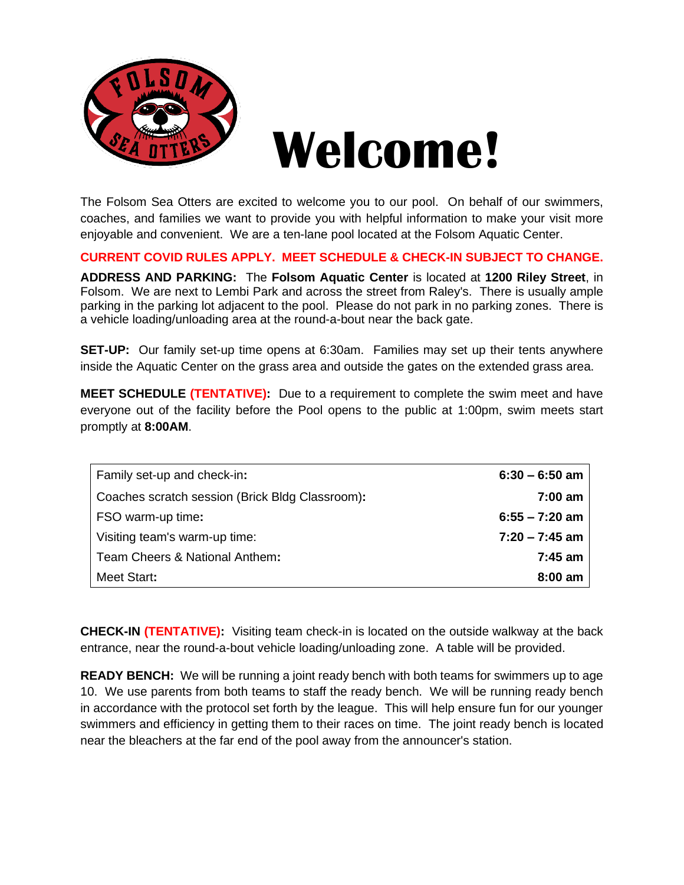

The Folsom Sea Otters are excited to welcome you to our pool. On behalf of our swimmers, coaches, and families we want to provide you with helpful information to make your visit more enjoyable and convenient. We are a ten-lane pool located at the Folsom Aquatic Center.

**CURRENT COVID RULES APPLY. MEET SCHEDULE & CHECK-IN SUBJECT TO CHANGE.**

**ADDRESS AND PARKING:** The **Folsom Aquatic Center** is located at **1200 Riley Street**, in Folsom. We are next to Lembi Park and across the street from Raley's. There is usually ample parking in the parking lot adjacent to the pool. Please do not park in no parking zones. There is a vehicle loading/unloading area at the round-a-bout near the back gate.

**SET-UP:** Our family set-up time opens at 6:30am. Families may set up their tents anywhere inside the Aquatic Center on the grass area and outside the gates on the extended grass area.

**MEET SCHEDULE (TENTATIVE):** Due to a requirement to complete the swim meet and have everyone out of the facility before the Pool opens to the public at 1:00pm, swim meets start promptly at **8:00AM**.

| Family set-up and check-in:                     | $6:30 - 6:50$ am  |
|-------------------------------------------------|-------------------|
| Coaches scratch session (Brick Bldg Classroom): | $7:00 \text{ am}$ |
| FSO warm-up time:                               | $6:55 - 7:20$ am  |
| Visiting team's warm-up time:                   | $7:20 - 7:45$ am  |
| Team Cheers & National Anthem:                  | $7:45$ am         |
| Meet Start:                                     | $8:00$ am         |

**CHECK-IN (TENTATIVE):** Visiting team check-in is located on the outside walkway at the back entrance, near the round-a-bout vehicle loading/unloading zone. A table will be provided.

**READY BENCH:** We will be running a joint ready bench with both teams for swimmers up to age 10. We use parents from both teams to staff the ready bench. We will be running ready bench in accordance with the protocol set forth by the league. This will help ensure fun for our younger swimmers and efficiency in getting them to their races on time. The joint ready bench is located near the bleachers at the far end of the pool away from the announcer's station.